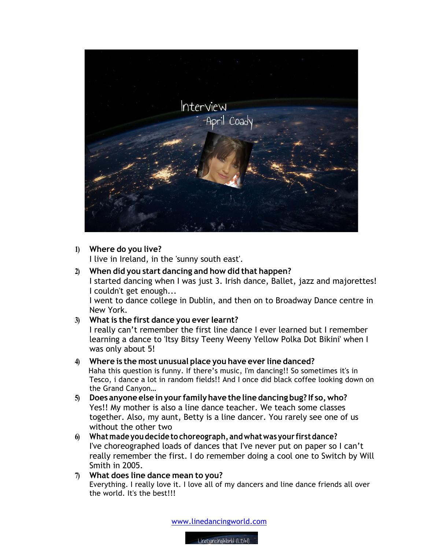

## **1) Where do you live?**

I live in Ireland, in the 'sunny south east'.

**2) When did you start dancing and how did that happen?**

I started dancing when I was just 3. Irish dance, Ballet, jazz and majorettes! I couldn't get enough...

I went to dance college in Dublin, and then on to Broadway Dance centre in New York.

- **3) What is the first dance you ever learnt?** I really can't remember the first line dance I ever learned but I remember learning a dance to 'Itsy Bitsy Teeny Weeny Yellow Polka Dot Bikini' when I was only about 5!
- **4) Where is the most unusual place you have ever line danced?**

 Haha this question is funny. If there's music, I'm dancing!! So sometimes it's in Tesco, i dance a lot in random fields!! And I once did black coffee looking down on the Grand Canyon…

- **5) Does anyone else inyour familyhave the line dancing bug? If so,who?** Yes!! My mother is also a line dance teacher. We teach some classes together. Also, my aunt, Betty is a line dancer. You rarely see one of us without the other two
- **6) Whatmade you decide to choreograph, andwhatwas your firstdance?**  I've choreographed loads of dances that I've never put on paper so I can't really remember the first. I do remember doing a cool one to Switch by Will Smith in 2005.
- **7) What does line dance mean to you?** Everything. I really love it. I love all of my dancers and line dance friends all over the world. It's the best!!!

www.linedancingworld.com

LineDancingWorld (LDW)